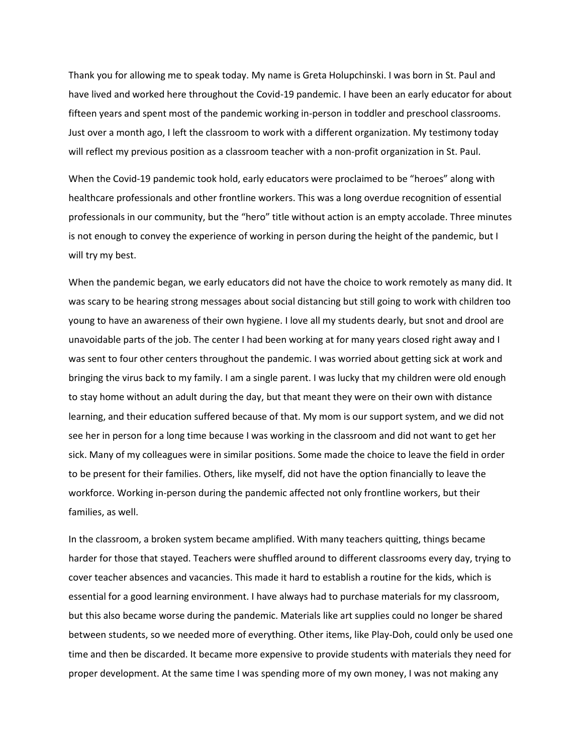Thank you for allowing me to speak today. My name is Greta Holupchinski. I was born in St. Paul and have lived and worked here throughout the Covid-19 pandemic. I have been an early educator for about fifteen years and spent most of the pandemic working in-person in toddler and preschool classrooms. Just over a month ago, I left the classroom to work with a different organization. My testimony today will reflect my previous position as a classroom teacher with a non-profit organization in St. Paul.

When the Covid-19 pandemic took hold, early educators were proclaimed to be "heroes" along with healthcare professionals and other frontline workers. This was a long overdue recognition of essential professionals in our community, but the "hero" title without action is an empty accolade. Three minutes is not enough to convey the experience of working in person during the height of the pandemic, but I will try my best.

When the pandemic began, we early educators did not have the choice to work remotely as many did. It was scary to be hearing strong messages about social distancing but still going to work with children too young to have an awareness of their own hygiene. I love all my students dearly, but snot and drool are unavoidable parts of the job. The center I had been working at for many years closed right away and I was sent to four other centers throughout the pandemic. I was worried about getting sick at work and bringing the virus back to my family. I am a single parent. I was lucky that my children were old enough to stay home without an adult during the day, but that meant they were on their own with distance learning, and their education suffered because of that. My mom is our support system, and we did not see her in person for a long time because I was working in the classroom and did not want to get her sick. Many of my colleagues were in similar positions. Some made the choice to leave the field in order to be present for their families. Others, like myself, did not have the option financially to leave the workforce. Working in-person during the pandemic affected not only frontline workers, but their families, as well.

In the classroom, a broken system became amplified. With many teachers quitting, things became harder for those that stayed. Teachers were shuffled around to different classrooms every day, trying to cover teacher absences and vacancies. This made it hard to establish a routine for the kids, which is essential for a good learning environment. I have always had to purchase materials for my classroom, but this also became worse during the pandemic. Materials like art supplies could no longer be shared between students, so we needed more of everything. Other items, like Play-Doh, could only be used one time and then be discarded. It became more expensive to provide students with materials they need for proper development. At the same time I was spending more of my own money, I was not making any